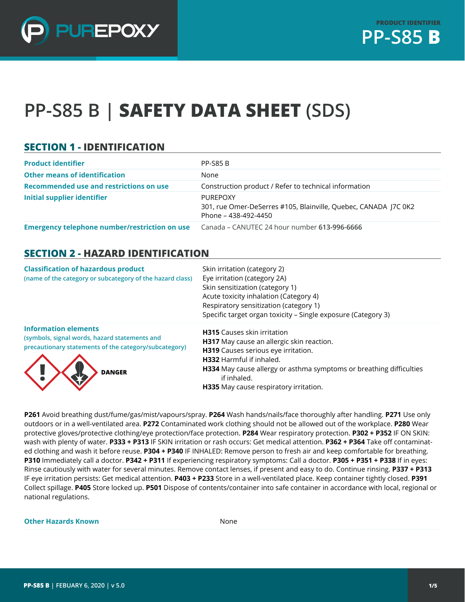

# **PP-S85 B | SAFETY DATA SHEET (SDS)**

### **SECTION 1 - IDENTIFICATION**

| <b>Product identifier</b>                            | <b>PP-S85 B</b>                                                                                     |
|------------------------------------------------------|-----------------------------------------------------------------------------------------------------|
| <b>Other means of identification</b>                 | None                                                                                                |
| Recommended use and restrictions on use              | Construction product / Refer to technical information                                               |
| <b>Initial supplier identifier</b>                   | PUREPOXY<br>301, rue Omer-DeSerres #105, Blainville, Quebec, CANADA 17C 0K2<br>Phone – 438-492-4450 |
| <b>Emergency telephone number/restriction on use</b> | Canada – CANUTEC 24 hour number 613-996-6666                                                        |

#### **SECTION 2 - HAZARD IDENTIFICATION**

| <b>Classification of hazardous product</b><br>(name of the category or subcategory of the hazard class)                                                | Skin irritation (category 2)<br>Eye irritation (category 2A)<br>Skin sensitization (category 1)<br>Acute toxicity inhalation (Category 4)<br>Respiratory sensitization (category 1)<br>Specific target organ toxicity - Single exposure (Category 3)                                             |
|--------------------------------------------------------------------------------------------------------------------------------------------------------|--------------------------------------------------------------------------------------------------------------------------------------------------------------------------------------------------------------------------------------------------------------------------------------------------|
| <b>Information elements</b><br>(symbols, signal words, hazard statements and<br>precautionary statements of the category/subcategory)<br><b>DANGER</b> | <b>H315</b> Causes skin irritation<br>H317 May cause an allergic skin reaction.<br>H319 Causes serious eye irritation.<br><b>H332</b> Harmful if inhaled.<br>H334 May cause allergy or asthma symptoms or breathing difficulties<br>if inhaled.<br><b>H335</b> May cause respiratory irritation. |

**P261** Avoid breathing dust/fume/gas/mist/vapours/spray. **P264** Wash hands/nails/face thoroughly after handling. **P271** Use only outdoors or in a well-ventilated area. **P272** Contaminated work clothing should not be allowed out of the workplace. **P280** Wear protective gloves/protective clothing/eye protection/face protection. **P284** Wear respiratory protection. **P302 + P352** IF ON SKIN: wash with plenty of water. **P333 + P313** IF SKIN irritation or rash occurs: Get medical attention. **P362 + P364** Take off contaminated clothing and wash it before reuse. **P304 + P340** IF INHALED: Remove person to fresh air and keep comfortable for breathing. **P310** Immediately call a doctor. **P342 + P311** If experiencing respiratory symptoms: Call a doctor. **P305 + P351 + P338** If in eyes: Rinse cautiously with water for several minutes. Remove contact lenses, if present and easy to do. Continue rinsing. **P337 + P313** IF eye irritation persists: Get medical attention. **P403 + P233** Store in a well-ventilated place. Keep container tightly closed. **P391**  Collect spillage. **P405** Store locked up. **P501** Dispose of contents/container into safe container in accordance with local, regional or national regulations.

#### **Other Hazards Known** None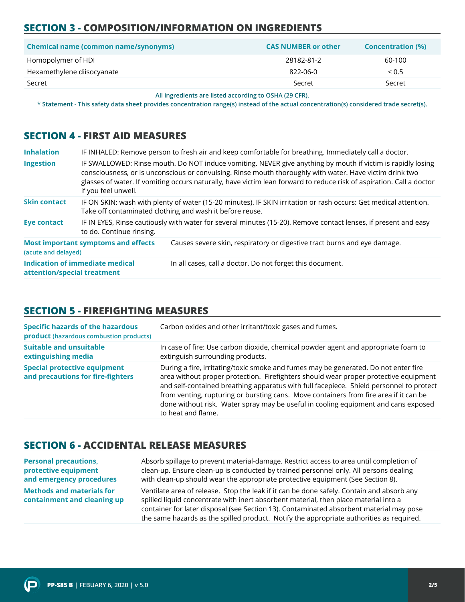# **SECTION 3 - COMPOSITION/INFORMATION ON INGREDIENTS**

| <b>Chemical name (common name/synonyms)</b> | <b>CAS NUMBER or other</b> | <b>Concentration (%)</b> |
|---------------------------------------------|----------------------------|--------------------------|
| Homopolymer of HDI                          | 28182-81-2                 | 60-100                   |
| Hexamethylene diisocyanate                  | 822-06-0                   | < 0.5                    |
| Secret                                      | Secret                     | Secret                   |

**All ingredients are listed according to OSHA (29 CFR).**

**\* Statement - This safety data sheet provides concentration range(s) instead of the actual concentration(s) considered trade secret(s).**

#### **SECTION 4 - FIRST AID MEASURES**

| <b>Inhalation</b>           |                                            | IF INHALED: Remove person to fresh air and keep comfortable for breathing. Immediately call a doctor.                                                                                                                                                                                                                                           |
|-----------------------------|--------------------------------------------|-------------------------------------------------------------------------------------------------------------------------------------------------------------------------------------------------------------------------------------------------------------------------------------------------------------------------------------------------|
| <b>Ingestion</b>            | if you feel unwell.                        | IF SWALLOWED: Rinse mouth. Do NOT induce vomiting. NEVER give anything by mouth if victim is rapidly losing<br>consciousness, or is unconscious or convulsing. Rinse mouth thoroughly with water. Have victim drink two<br>glasses of water. If vomiting occurs naturally, have victim lean forward to reduce risk of aspiration. Call a doctor |
| <b>Skin contact</b>         |                                            | IF ON SKIN: wash with plenty of water (15-20 minutes). IF SKIN irritation or rash occurs: Get medical attention.<br>Take off contaminated clothing and wash it before reuse.                                                                                                                                                                    |
| <b>Eye contact</b>          | to do. Continue rinsing.                   | IF IN EYES, Rinse cautiously with water for several minutes (15-20). Remove contact lenses, if present and easy                                                                                                                                                                                                                                 |
| (acute and delayed)         | <b>Most important symptoms and effects</b> | Causes severe skin, respiratory or digestive tract burns and eye damage.                                                                                                                                                                                                                                                                        |
| attention/special treatment | Indication of immediate medical            | In all cases, call a doctor. Do not forget this document.                                                                                                                                                                                                                                                                                       |

# **SECTION 5 - FIREFIGHTING MEASURES**

| <b>Specific hazards of the hazardous</b><br><b>product</b> (hazardous combustion products) | Carbon oxides and other irritant/toxic gases and fumes.                                                                                                                                                                                                                                                                                                                                                                                                                     |
|--------------------------------------------------------------------------------------------|-----------------------------------------------------------------------------------------------------------------------------------------------------------------------------------------------------------------------------------------------------------------------------------------------------------------------------------------------------------------------------------------------------------------------------------------------------------------------------|
| <b>Suitable and unsuitable</b><br>extinguishing media                                      | In case of fire: Use carbon dioxide, chemical powder agent and appropriate foam to<br>extinguish surrounding products.                                                                                                                                                                                                                                                                                                                                                      |
| <b>Special protective equipment</b><br>and precautions for fire-fighters                   | During a fire, irritating/toxic smoke and fumes may be generated. Do not enter fire<br>area without proper protection. Firefighters should wear proper protective equipment<br>and self-contained breathing apparatus with full facepiece. Shield personnel to protect<br>from venting, rupturing or bursting cans. Move containers from fire area if it can be<br>done without risk. Water spray may be useful in cooling equipment and cans exposed<br>to heat and flame. |

#### **SECTION 6 - ACCIDENTAL RELEASE MEASURES**

| <b>Personal precautions,</b>                                    | Absorb spillage to prevent material-damage. Restrict access to area until completion of                                                                                                                                                                                                                                                                                  |
|-----------------------------------------------------------------|--------------------------------------------------------------------------------------------------------------------------------------------------------------------------------------------------------------------------------------------------------------------------------------------------------------------------------------------------------------------------|
| protective equipment                                            | clean-up. Ensure clean-up is conducted by trained personnel only. All persons dealing                                                                                                                                                                                                                                                                                    |
| and emergency procedures                                        | with clean-up should wear the appropriate protective equipment (See Section 8).                                                                                                                                                                                                                                                                                          |
| <b>Methods and materials for</b><br>containment and cleaning up | Ventilate area of release. Stop the leak if it can be done safely. Contain and absorb any<br>spilled liquid concentrate with inert absorbent material, then place material into a<br>container for later disposal (see Section 13). Contaminated absorbent material may pose<br>the same hazards as the spilled product. Notify the appropriate authorities as required. |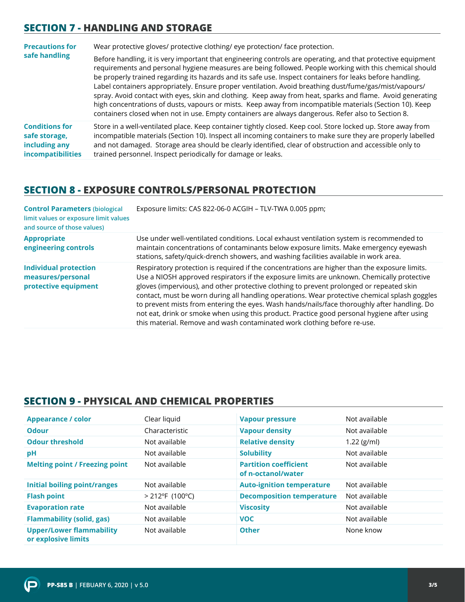### **SECTION 7 - HANDLING AND STORAGE**

| <b>Precautions for</b>                                                              | Wear protective gloves/ protective clothing/ eye protection/ face protection.                                                                                                                                                                                                                                                                                                                                                                                                                                                                                                                                                                                                                                                                                                  |  |
|-------------------------------------------------------------------------------------|--------------------------------------------------------------------------------------------------------------------------------------------------------------------------------------------------------------------------------------------------------------------------------------------------------------------------------------------------------------------------------------------------------------------------------------------------------------------------------------------------------------------------------------------------------------------------------------------------------------------------------------------------------------------------------------------------------------------------------------------------------------------------------|--|
| safe handling                                                                       | Before handling, it is very important that engineering controls are operating, and that protective equipment<br>requirements and personal hygiene measures are being followed. People working with this chemical should<br>be properly trained regarding its hazards and its safe use. Inspect containers for leaks before handling.<br>Label containers appropriately. Ensure proper ventilation. Avoid breathing dust/fume/gas/mist/vapours/<br>spray. Avoid contact with eyes, skin and clothing. Keep away from heat, sparks and flame. Avoid generating<br>high concentrations of dusts, vapours or mists. Keep away from incompatible materials (Section 10). Keep<br>containers closed when not in use. Empty containers are always dangerous. Refer also to Section 8. |  |
| <b>Conditions for</b><br>safe storage,<br>including any<br><b>incompatibilities</b> | Store in a well-ventilated place. Keep container tightly closed. Keep cool. Store locked up. Store away from<br>incompatible materials (Section 10). Inspect all incoming containers to make sure they are properly labelled<br>and not damaged. Storage area should be clearly identified, clear of obstruction and accessible only to<br>trained personnel. Inspect periodically for damage or leaks.                                                                                                                                                                                                                                                                                                                                                                        |  |

#### **SECTION 8 - EXPOSURE CONTROLS/PERSONAL PROTECTION**

| <b>Control Parameters (biological</b><br>limit values or exposure limit values<br>and source of those values) | Exposure limits: CAS 822-06-0 ACGIH - TLV-TWA 0.005 ppm;                                                                                                                                                                                                                                                                                                                                                                                                                                                                                                                                                                                                            |
|---------------------------------------------------------------------------------------------------------------|---------------------------------------------------------------------------------------------------------------------------------------------------------------------------------------------------------------------------------------------------------------------------------------------------------------------------------------------------------------------------------------------------------------------------------------------------------------------------------------------------------------------------------------------------------------------------------------------------------------------------------------------------------------------|
| <b>Appropriate</b><br>engineering controls                                                                    | Use under well-ventilated conditions. Local exhaust ventilation system is recommended to<br>maintain concentrations of contaminants below exposure limits. Make emergency eyewash<br>stations, safety/quick-drench showers, and washing facilities available in work area.                                                                                                                                                                                                                                                                                                                                                                                          |
| <b>Individual protection</b><br>measures/personal<br>protective equipment                                     | Respiratory protection is required if the concentrations are higher than the exposure limits.<br>Use a NIOSH approved respirators if the exposure limits are unknown. Chemically protective<br>gloves (impervious), and other protective clothing to prevent prolonged or repeated skin<br>contact, must be worn during all handling operations. Wear protective chemical splash goggles<br>to prevent mists from entering the eyes. Wash hands/nails/face thoroughly after handling. Do<br>not eat, drink or smoke when using this product. Practice good personal hygiene after using<br>this material. Remove and wash contaminated work clothing before re-use. |

#### **SECTION 9 - PHYSICAL AND CHEMICAL PROPERTIES**

| <b>Appearance / color</b>                              | Clear liquid       | <b>Vapour pressure</b>                             | Not available |
|--------------------------------------------------------|--------------------|----------------------------------------------------|---------------|
| <b>Odour</b>                                           | Characteristic     | <b>Vapour density</b>                              | Not available |
| <b>Odour threshold</b>                                 | Not available      | <b>Relative density</b>                            | $1.22$ (g/ml) |
| рH                                                     | Not available      | <b>Solubility</b>                                  | Not available |
| <b>Melting point / Freezing point</b>                  | Not available      | <b>Partition coefficient</b><br>of n-octanol/water | Not available |
| <b>Initial boiling point/ranges</b>                    | Not available      | <b>Auto-ignition temperature</b>                   | Not available |
| <b>Flash point</b>                                     | $> 212$ °F (100°C) | <b>Decomposition temperature</b>                   | Not available |
| <b>Evaporation rate</b>                                | Not available      | <b>Viscosity</b>                                   | Not available |
| <b>Flammability (solid, gas)</b>                       | Not available      | <b>VOC</b>                                         | Not available |
| <b>Upper/Lower flammability</b><br>or explosive limits | Not available      | <b>Other</b>                                       | None know     |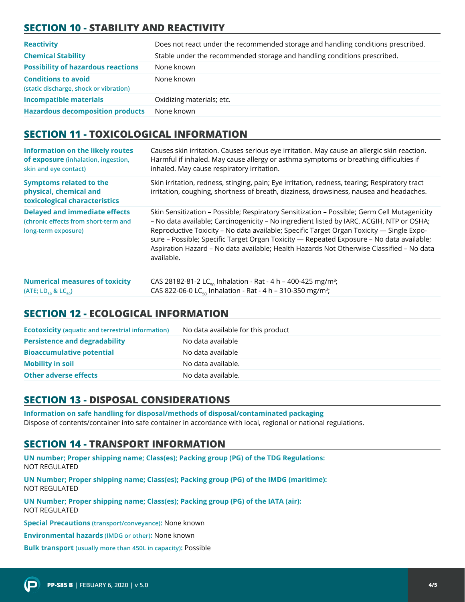# **SECTION 10 - STABILITY AND REACTIVITY**

| <b>Reactivity</b>                                                    | Does not react under the recommended storage and handling conditions prescribed. |
|----------------------------------------------------------------------|----------------------------------------------------------------------------------|
| <b>Chemical Stability</b>                                            | Stable under the recommended storage and handling conditions prescribed.         |
| <b>Possibility of hazardous reactions</b>                            | None known                                                                       |
| <b>Conditions to avoid</b><br>(static discharge, shock or vibration) | None known                                                                       |
| <b>Incompatible materials</b>                                        | Oxidizing materials; etc.                                                        |
| <b>Hazardous decomposition products</b>                              | None known                                                                       |

#### **SECTION 11 - TOXICOLOGICAL INFORMATION**

| <b>Information on the likely routes</b><br>of exposure (inhalation, ingestion,<br>skin and eye contact) | Causes skin irritation. Causes serious eye irritation. May cause an allergic skin reaction.<br>Harmful if inhaled. May cause allergy or asthma symptoms or breathing difficulties if<br>inhaled. May cause respiratory irritation.                                                                                                                                                                                                                                                        |
|---------------------------------------------------------------------------------------------------------|-------------------------------------------------------------------------------------------------------------------------------------------------------------------------------------------------------------------------------------------------------------------------------------------------------------------------------------------------------------------------------------------------------------------------------------------------------------------------------------------|
| <b>Symptoms related to the</b><br>physical, chemical and<br>toxicological characteristics               | Skin irritation, redness, stinging, pain; Eye irritation, redness, tearing; Respiratory tract<br>irritation, coughing, shortness of breath, dizziness, drowsiness, nausea and headaches.                                                                                                                                                                                                                                                                                                  |
| <b>Delayed and immediate effects</b><br>(chronic effects from short-term and<br>long-term exposure)     | Skin Sensitization - Possible; Respiratory Sensitization - Possible; Germ Cell Mutagenicity<br>- No data available; Carcinogenicity - No ingredient listed by IARC, ACGIH, NTP or OSHA;<br>Reproductive Toxicity - No data available; Specific Target Organ Toxicity - Single Expo-<br>sure - Possible; Specific Target Organ Toxicity - Repeated Exposure - No data available;<br>Aspiration Hazard - No data available; Health Hazards Not Otherwise Classified - No data<br>available. |
| <b>Numerical measures of toxicity</b>                                                                   | CAS 28182-81-2 LC <sub>50</sub> Inhalation - Rat - 4 h - 400-425 mg/m <sup>3</sup> ;                                                                                                                                                                                                                                                                                                                                                                                                      |

#### **SECTION 12 - ECOLOGICAL INFORMATION**

**(ATE; LD<sub>50</sub> & LC<sub>50</sub>)** 

| <b>Ecotoxicity</b> (aquatic and terrestrial information) | No data available for this product |
|----------------------------------------------------------|------------------------------------|
| <b>Persistence and degradability</b>                     | No data available                  |
| <b>Bioaccumulative potential</b>                         | No data available                  |
| <b>Mobility in soil</b>                                  | No data available.                 |
| <b>Other adverse effects</b>                             | No data available.                 |

CAS 822-06-0 LC<sub>50</sub> Inhalation - Rat - 4 h – 310-350 mg/m<sup>3</sup>;

# **SECTION 13 - DISPOSAL CONSIDERATIONS**

**Information on safe handling for disposal/methods of disposal/contaminated packaging**  Dispose of contents/container into safe container in accordance with local, regional or national regulations.

#### **SECTION 14 - TRANSPORT INFORMATION**

**UN number; Proper shipping name; Class(es); Packing group (PG) of the TDG Regulations:** NOT REGULATED

**UN Number; Proper shipping name; Class(es); Packing group (PG) of the IMDG (maritime):** NOT REGULATED

**UN Number; Proper shipping name; Class(es); Packing group (PG) of the IATA (air):** NOT REGULATED

**Special Precautions (transport/conveyance):** None known

**Environmental hazards (IMDG or other):** None known

**Bulk transport (usually more than 450L in capacity):** Possible